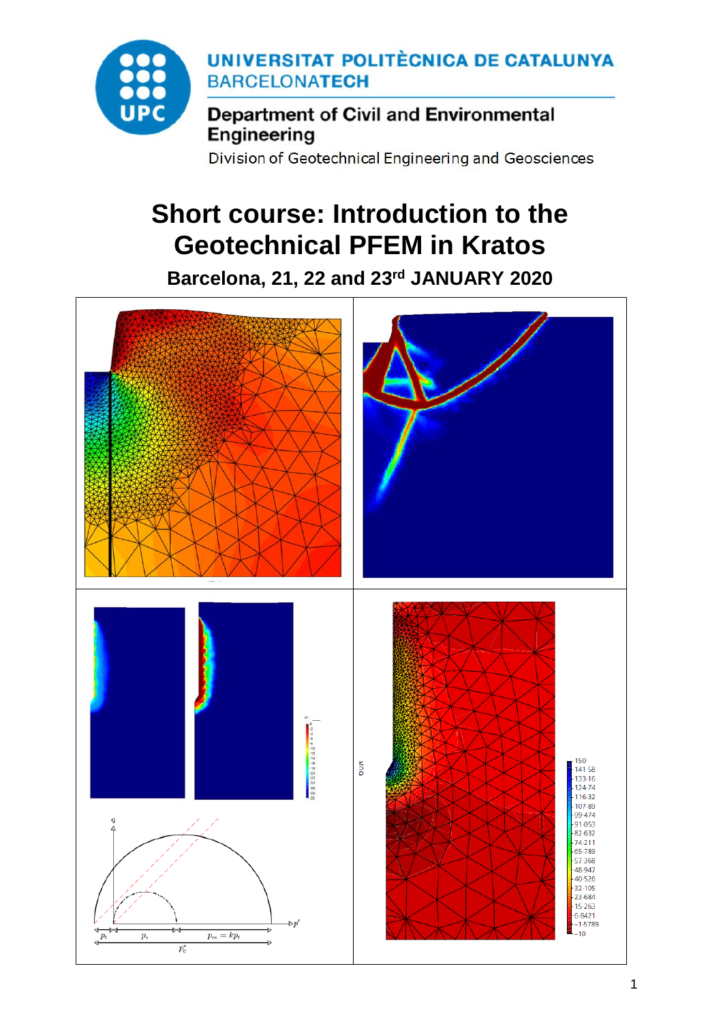

Division of Geotechnical Engineering and Geosciences

# **Short course: Introduction to the Geotechnical PFEM in Kratos**

**Barcelona, 21, 22 and 23rd JANUARY 2020**

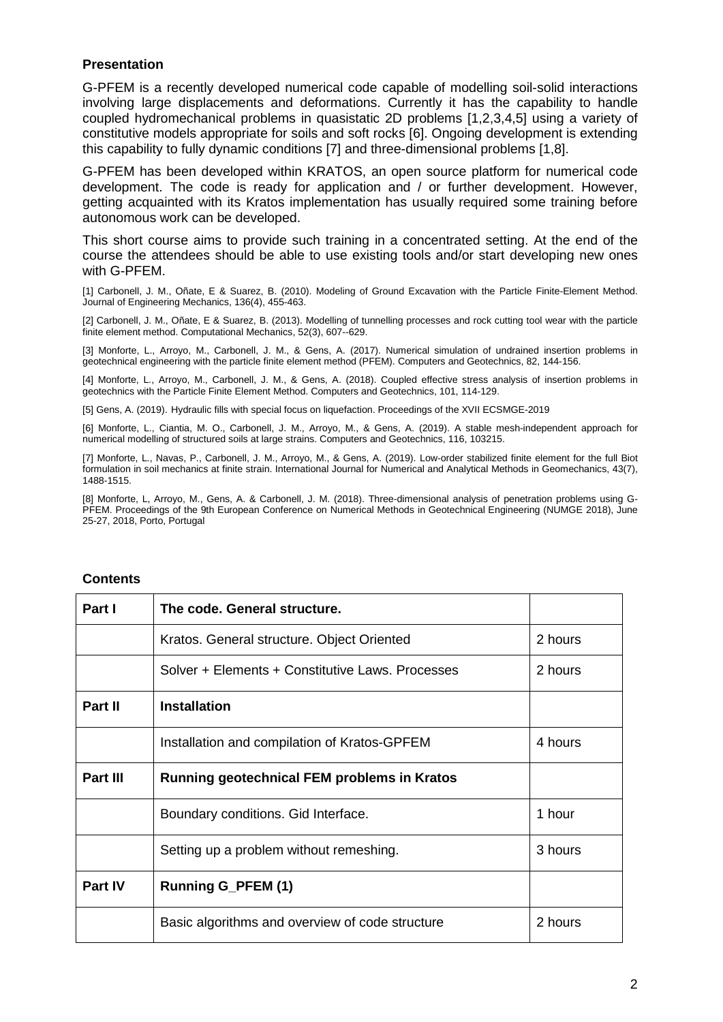### **Presentation**

G-PFEM is a recently developed numerical code capable of modelling soil-solid interactions involving large displacements and deformations. Currently it has the capability to handle coupled hydromechanical problems in quasistatic 2D problems [1,2,3,4,5] using a variety of constitutive models appropriate for soils and soft rocks [6]. Ongoing development is extending this capability to fully dynamic conditions [7] and three-dimensional problems [1,8].

G-PFEM has been developed within KRATOS, an open source platform for numerical code development. The code is ready for application and / or further development. However, getting acquainted with its Kratos implementation has usually required some training before autonomous work can be developed.

This short course aims to provide such training in a concentrated setting. At the end of the course the attendees should be able to use existing tools and/or start developing new ones with G-PFEM.

[1] Carbonell, J. M., Oñate, E & Suarez, B. (2010). Modeling of Ground Excavation with the Particle Finite-Element Method. Journal of Engineering Mechanics, 136(4), 455-463.

[2] Carbonell, J. M., Oñate, E & Suarez, B. (2013). Modelling of tunnelling processes and rock cutting tool wear with the particle finite element method. Computational Mechanics, 52(3), 607--629.

[3] Monforte, L., Arroyo, M., Carbonell, J. M., & Gens, A. (2017). Numerical simulation of undrained insertion problems in geotechnical engineering with the particle finite element method (PFEM). Computers and Geotechnics, 82, 144-156.

[4] Monforte, L., Arroyo, M., Carbonell, J. M., & Gens, A. (2018). Coupled effective stress analysis of insertion problems in geotechnics with the Particle Finite Element Method. Computers and Geotechnics, 101, 114-129.

[5] Gens, A. (2019). Hydraulic fills with special focus on liquefaction. Proceedings of the XVII ECSMGE-2019

[6] Monforte, L., Ciantia, M. O., Carbonell, J. M., Arroyo, M., & Gens, A. (2019). A stable mesh-independent approach for numerical modelling of structured soils at large strains. Computers and Geotechnics, 116, 103215.

[7] Monforte, L., Navas, P., Carbonell, J. M., Arroyo, M., & Gens, A. (2019). Low‐order stabilized finite element for the full Biot formulation in soil mechanics at finite strain. International Journal for Numerical and Analytical Methods in Geomechanics, 43(7), 1488-1515.

[8] Monforte, L, Arroyo, M., Gens, A. & Carbonell, J. M. (2018). Three-dimensional analysis of penetration problems using G-PFEM. Proceedings of the 9th European Conference on Numerical Methods in Geotechnical Engineering (NUMGE 2018), June 25-27, 2018, Porto, Portugal

| Part I         | The code. General structure.                       |         |
|----------------|----------------------------------------------------|---------|
|                | Kratos. General structure. Object Oriented         | 2 hours |
|                | Solver + Elements + Constitutive Laws, Processes   | 2 hours |
| Part II        | <b>Installation</b>                                |         |
|                | Installation and compilation of Kratos-GPFEM       | 4 hours |
| Part III       | <b>Running geotechnical FEM problems in Kratos</b> |         |
|                | Boundary conditions. Gid Interface.                | 1 hour  |
|                | Setting up a problem without remeshing.            | 3 hours |
| <b>Part IV</b> | <b>Running G_PFEM (1)</b>                          |         |
|                | Basic algorithms and overview of code structure    | 2 hours |

#### **Contents**